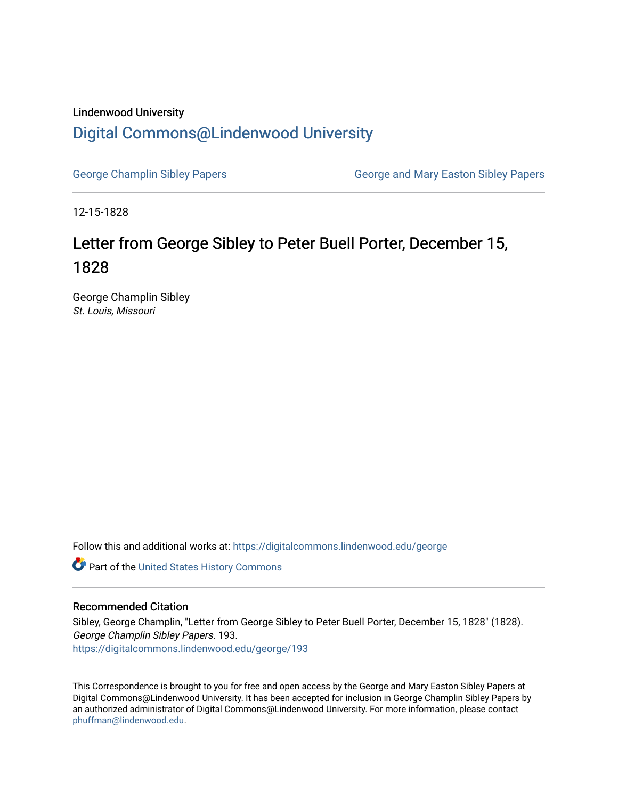## Lindenwood University

## [Digital Commons@Lindenwood University](https://digitalcommons.lindenwood.edu/)

[George Champlin Sibley Papers](https://digitalcommons.lindenwood.edu/george) George and Mary Easton Sibley Papers

12-15-1828

## Letter from George Sibley to Peter Buell Porter, December 15, 1828

George Champlin Sibley St. Louis, Missouri

Follow this and additional works at: [https://digitalcommons.lindenwood.edu/george](https://digitalcommons.lindenwood.edu/george?utm_source=digitalcommons.lindenwood.edu%2Fgeorge%2F193&utm_medium=PDF&utm_campaign=PDFCoverPages)

Part of the [United States History Commons](http://network.bepress.com/hgg/discipline/495?utm_source=digitalcommons.lindenwood.edu%2Fgeorge%2F193&utm_medium=PDF&utm_campaign=PDFCoverPages) 

## Recommended Citation

Sibley, George Champlin, "Letter from George Sibley to Peter Buell Porter, December 15, 1828" (1828). George Champlin Sibley Papers. 193. [https://digitalcommons.lindenwood.edu/george/193](https://digitalcommons.lindenwood.edu/george/193?utm_source=digitalcommons.lindenwood.edu%2Fgeorge%2F193&utm_medium=PDF&utm_campaign=PDFCoverPages)

This Correspondence is brought to you for free and open access by the George and Mary Easton Sibley Papers at Digital Commons@Lindenwood University. It has been accepted for inclusion in George Champlin Sibley Papers by an authorized administrator of Digital Commons@Lindenwood University. For more information, please contact [phuffman@lindenwood.edu](mailto:phuffman@lindenwood.edu).